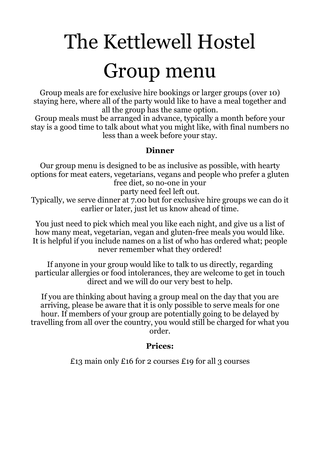# The Kettlewell Hostel Group menu

Group meals are for exclusive hire bookings or larger groups (over 10) staying here, where all of the party would like to have a meal together and all the group has the same option.

Group meals must be arranged in advance, typically a month before your stay is a good time to talk about what you might like, with final numbers no less than a week before your stay.

#### **Dinner**

Our group menu is designed to be as inclusive as possible, with hearty options for meat eaters, vegetarians, vegans and people who prefer a gluten free diet, so no-one in your

party need feel left out.

Typically, we serve dinner at 7.00 but for exclusive hire groups we can do it earlier or later, just let us know ahead of time.

You just need to pick which meal you like each night, and give us a list of how many meat, vegetarian, vegan and gluten-free meals you would like. It is helpful if you include names on a list of who has ordered what; people never remember what they ordered!

If anyone in your group would like to talk to us directly, regarding particular allergies or food intolerances, they are welcome to get in touch direct and we will do our very best to help.

If you are thinking about having a group meal on the day that you are arriving, please be aware that it is only possible to serve meals for one hour. If members of your group are potentially going to be delayed by travelling from all over the country, you would still be charged for what you order.

#### **Prices:**

£13 main only £16 for 2 courses £19 for all 3 courses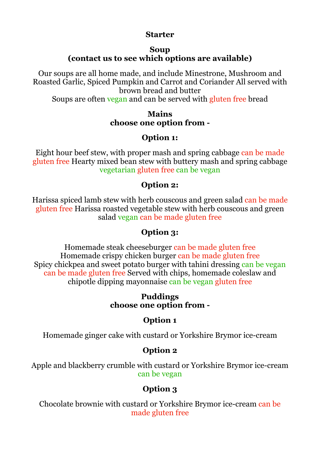#### **Starter**

#### **Soup (contact us to see which options are available)**

Our soups are all home made, and include Minestrone, Mushroom and Roasted Garlic, Spiced Pumpkin and Carrot and Coriander All served with brown bread and butter

Soups are often vegan and can be served with gluten free bread

#### **Mains choose one option from -**

# **Option 1:**

Eight hour beef stew, with proper mash and spring cabbage can be made gluten free Hearty mixed bean stew with buttery mash and spring cabbage vegetarian gluten free can be vegan

# **Option 2:**

Harissa spiced lamb stew with herb couscous and green salad can be made gluten free Harissa roasted vegetable stew with herb couscous and green salad vegan can be made gluten free

# **Option 3:**

Homemade steak cheeseburger can be made gluten free Homemade crispy chicken burger can be made gluten free Spicy chickpea and sweet potato burger with tahini dressing can be vegan can be made gluten free Served with chips, homemade coleslaw and chipotle dipping mayonnaise can be vegan gluten free

#### **Puddings choose one option from -**

# **Option 1**

Homemade ginger cake with custard or Yorkshire Brymor ice-cream

# **Option 2**

Apple and blackberry crumble with custard or Yorkshire Brymor ice-cream can be vegan

# **Option 3**

Chocolate brownie with custard or Yorkshire Brymor ice-cream can be made gluten free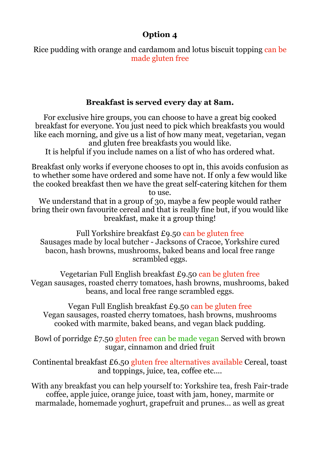#### **Option 4**

Rice pudding with orange and cardamom and lotus biscuit topping can be made gluten free

#### **Breakfast is served every day at 8am.**

For exclusive hire groups, you can choose to have a great big cooked breakfast for everyone. You just need to pick which breakfasts you would like each morning, and give us a list of how many meat, vegetarian, vegan and gluten free breakfasts you would like.

It is helpful if you include names on a list of who has ordered what.

Breakfast only works if everyone chooses to opt in, this avoids confusion as to whether some have ordered and some have not. If only a few would like the cooked breakfast then we have the great self-catering kitchen for them to use.

We understand that in a group of 30, maybe a few people would rather bring their own favourite cereal and that is really fine but, if you would like breakfast, make it a group thing!

Full Yorkshire breakfast £9.50 can be gluten free Sausages made by local butcher - Jacksons of Cracoe, Yorkshire cured bacon, hash browns, mushrooms, baked beans and local free range scrambled eggs.

Vegetarian Full English breakfast £9.50 can be gluten free Vegan sausages, roasted cherry tomatoes, hash browns, mushrooms, baked beans, and local free range scrambled eggs.

Vegan Full English breakfast £9.50 can be gluten free Vegan sausages, roasted cherry tomatoes, hash browns, mushrooms cooked with marmite, baked beans, and vegan black pudding.

Bowl of porridge £7.50 gluten free can be made vegan Served with brown sugar, cinnamon and dried fruit

Continental breakfast £6.50 gluten free alternatives available Cereal, toast and toppings, juice, tea, coffee etc....

With any breakfast you can help yourself to: Yorkshire tea, fresh Fair-trade coffee, apple juice, orange juice, toast with jam, honey, marmite or marmalade, homemade yoghurt, grapefruit and prunes... as well as great